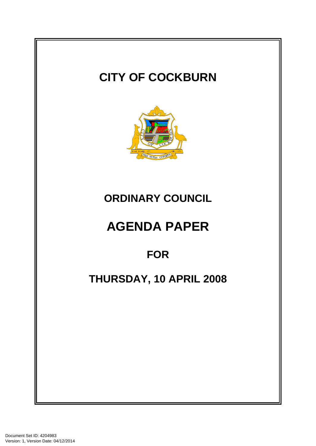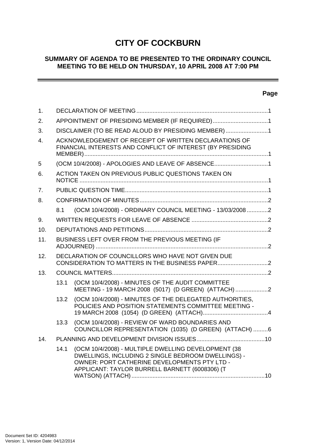# **CITY OF COCKBURN**

# **SUMMARY OF AGENDA TO BE PRESENTED TO THE ORDINARY COUNCIL MEETING TO BE HELD ON THURSDAY, 10 APRIL 2008 AT 7:00 PM**

# **Page**

-

| 1.               |                                                                                                                     |                                                                                                                                                                                                             |  |
|------------------|---------------------------------------------------------------------------------------------------------------------|-------------------------------------------------------------------------------------------------------------------------------------------------------------------------------------------------------------|--|
| 2.               | APPOINTMENT OF PRESIDING MEMBER (IF REQUIRED)1                                                                      |                                                                                                                                                                                                             |  |
| 3.               | DISCLAIMER (TO BE READ ALOUD BY PRESIDING MEMBER) 1                                                                 |                                                                                                                                                                                                             |  |
| $\overline{4}$ . | ACKNOWLEDGEMENT OF RECEIPT OF WRITTEN DECLARATIONS OF<br>FINANCIAL INTERESTS AND CONFLICT OF INTEREST (BY PRESIDING |                                                                                                                                                                                                             |  |
| 5                | (OCM 10/4/2008) - APOLOGIES AND LEAVE OF ABSENCE1                                                                   |                                                                                                                                                                                                             |  |
| 6.               | ACTION TAKEN ON PREVIOUS PUBLIC QUESTIONS TAKEN ON                                                                  |                                                                                                                                                                                                             |  |
| 7.               |                                                                                                                     |                                                                                                                                                                                                             |  |
| 8.               |                                                                                                                     |                                                                                                                                                                                                             |  |
|                  | 8.1                                                                                                                 | (OCM 10/4/2008) - ORDINARY COUNCIL MEETING - 13/03/2008 2                                                                                                                                                   |  |
| 9.               |                                                                                                                     |                                                                                                                                                                                                             |  |
| 10.              |                                                                                                                     |                                                                                                                                                                                                             |  |
| 11.              | BUSINESS LEFT OVER FROM THE PREVIOUS MEETING (IF                                                                    |                                                                                                                                                                                                             |  |
| 12.              | DECLARATION OF COUNCILLORS WHO HAVE NOT GIVEN DUE                                                                   |                                                                                                                                                                                                             |  |
| 13.              |                                                                                                                     |                                                                                                                                                                                                             |  |
|                  | 13.1                                                                                                                | (OCM 10/4/2008) - MINUTES OF THE AUDIT COMMITTEE<br>MEETING - 19 MARCH 2008 (5017) (D GREEN) (ATTACH)2                                                                                                      |  |
|                  | 13.2                                                                                                                | (OCM 10/4/2008) - MINUTES OF THE DELEGATED AUTHORITIES,<br>POLICIES AND POSITION STATEMENTS COMMITTEE MEETING -                                                                                             |  |
|                  | 13.3                                                                                                                | (OCM 10/4/2008) - REVIEW OF WARD BOUNDARIES AND<br>COUNCILLOR REPRESENTATION (1035) (D GREEN) (ATTACH) 6                                                                                                    |  |
| 14.              |                                                                                                                     |                                                                                                                                                                                                             |  |
|                  | 14.1                                                                                                                | (OCM 10/4/2008) - MULTIPLE DWELLING DEVELOPMENT (38<br>DWELLINGS, INCLUDING 2 SINGLE BEDROOM DWELLINGS) -<br>OWNER: PORT CATHERINE DEVELOPMENTS PTY LTD -<br>APPLICANT: TAYLOR BURRELL BARNETT (6008306) (T |  |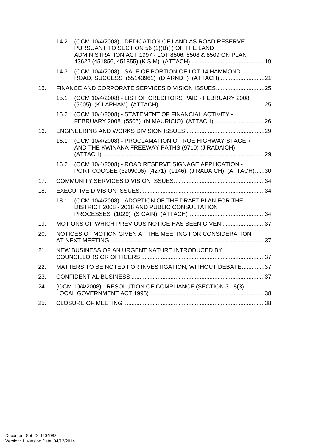|     | 14.2                                                         | (OCM 10/4/2008) - DEDICATION OF LAND AS ROAD RESERVE<br>PURSUANT TO SECTION 56 (1)(B)(I) OF THE LAND<br>ADMINISTRATION ACT 1997 - LOT 8506, 8508 & 8509 ON PLAN |  |
|-----|--------------------------------------------------------------|-----------------------------------------------------------------------------------------------------------------------------------------------------------------|--|
|     | 14.3                                                         | (OCM 10/4/2008) - SALE OF PORTION OF LOT 14 HAMMOND                                                                                                             |  |
| 15. |                                                              |                                                                                                                                                                 |  |
|     | 15.1                                                         | (OCM 10/4/2008) - LIST OF CREDITORS PAID - FEBRUARY 2008                                                                                                        |  |
|     | 15.2                                                         | (OCM 10/4/2008) - STATEMENT OF FINANCIAL ACTIVITY -                                                                                                             |  |
| 16. |                                                              |                                                                                                                                                                 |  |
|     | 16.1                                                         | (OCM 10/4/2008) - PROCLAMATION OF ROE HIGHWAY STAGE 7<br>AND THE KWINANA FREEWAY PATHS (9710) (J RADAICH)                                                       |  |
|     | 16.2                                                         | (OCM 10/4/2008) - ROAD RESERVE SIGNAGE APPLICATION -<br>PORT COOGEE (3209006) (4271) (1146) (J RADAICH) (ATTACH)30                                              |  |
| 17. |                                                              |                                                                                                                                                                 |  |
| 18. |                                                              |                                                                                                                                                                 |  |
|     | 18.1                                                         | (OCM 10/4/2008) - ADOPTION OF THE DRAFT PLAN FOR THE<br>DISTRICT 2008 - 2018 AND PUBLIC CONSULTATION                                                            |  |
| 19. |                                                              | MOTIONS OF WHICH PREVIOUS NOTICE HAS BEEN GIVEN 37                                                                                                              |  |
| 20. |                                                              | NOTICES OF MOTION GIVEN AT THE MEETING FOR CONSIDERATION                                                                                                        |  |
| 21. |                                                              | NEW BUSINESS OF AN URGENT NATURE INTRODUCED BY                                                                                                                  |  |
| 22. |                                                              | MATTERS TO BE NOTED FOR INVESTIGATION, WITHOUT DEBATE37                                                                                                         |  |
| 23. |                                                              |                                                                                                                                                                 |  |
| 24  | (OCM 10/4/2008) - RESOLUTION OF COMPLIANCE (SECTION 3.18(3), |                                                                                                                                                                 |  |
| 25. |                                                              |                                                                                                                                                                 |  |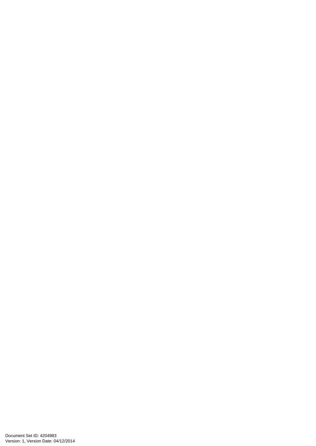Document Set ID: 4204983<br>Version: 1, Version Date: 04/12/2014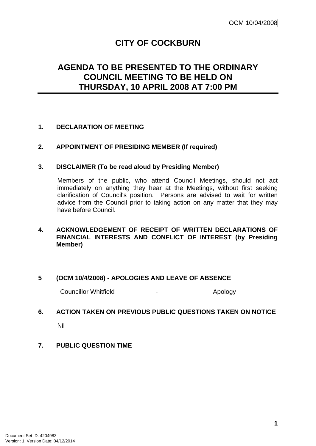# **CITY OF COCKBURN**

# <span id="page-4-0"></span>**AGENDA TO BE PRESENTED TO THE ORDINARY COUNCIL MEETING TO BE HELD ON THURSDAY, 10 APRIL 2008 AT 7:00 PM**

# **1. DECLARATION OF MEETING**

# **2. APPOINTMENT OF PRESIDING MEMBER (If required)**

## **3. DISCLAIMER (To be read aloud by Presiding Member)**

Members of the public, who attend Council Meetings, should not act immediately on anything they hear at the Meetings, without first seeking clarification of Council's position. Persons are advised to wait for written advice from the Council prior to taking action on any matter that they may have before Council.

# **4. ACKNOWLEDGEMENT OF RECEIPT OF WRITTEN DECLARATIONS OF FINANCIAL INTERESTS AND CONFLICT OF INTEREST (by Presiding Member)**

## **5 (OCM 10/4/2008) - APOLOGIES AND LEAVE OF ABSENCE**

Councillor Whitfield **-** The Apology

## **6. ACTION TAKEN ON PREVIOUS PUBLIC QUESTIONS TAKEN ON NOTICE**

Nil

**7. PUBLIC QUESTION TIME**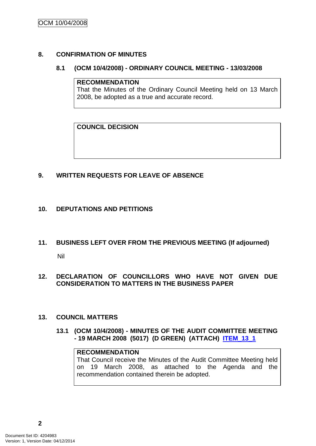# <span id="page-5-0"></span>**8. CONFIRMATION OF MINUTES**

## **8.1 (OCM 10/4/2008) - ORDINARY COUNCIL MEETING - 13/03/2008**

#### **RECOMMENDATION**

That the Minutes of the Ordinary Council Meeting held on 13 March 2008, be adopted as a true and accurate record.

# **COUNCIL DECISION**

# **9. WRITTEN REQUESTS FOR LEAVE OF ABSENCE**

# **10. DEPUTATIONS AND PETITIONS**

# **11. BUSINESS LEFT OVER FROM THE PREVIOUS MEETING (If adjourned)**  Nil

# **12. DECLARATION OF COUNCILLORS WHO HAVE NOT GIVEN DUE CONSIDERATION TO MATTERS IN THE BUSINESS PAPER**

## **13. COUNCIL MATTERS**

**13.1 (OCM 10/4/2008) - MINUTES OF THE AUDIT COMMITTEE MEETING - 19 MARCH 2008 (5017) (D GREEN) (ATTACH) ITEM\_13\_1**

## **RECOMMENDATION**

That Council receive the Minutes of the Audit Committee Meeting held on 19 March 2008, as attached to the Agenda and the recommendation contained therein be adopted.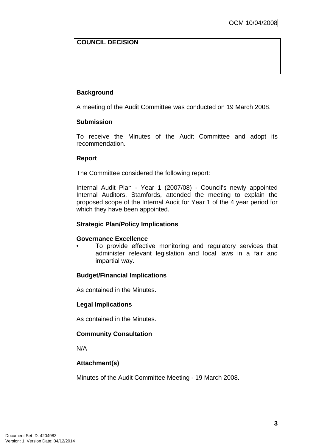# **COUNCIL DECISION**

# **Background**

A meeting of the Audit Committee was conducted on 19 March 2008.

# **Submission**

To receive the Minutes of the Audit Committee and adopt its recommendation.

# **Report**

The Committee considered the following report:

Internal Audit Plan - Year 1 (2007/08) - Council's newly appointed Internal Auditors, Stamfords, attended the meeting to explain the proposed scope of the Internal Audit for Year 1 of the 4 year period for which they have been appointed.

## **Strategic Plan/Policy Implications**

# **Governance Excellence**

To provide effective monitoring and regulatory services that administer relevant legislation and local laws in a fair and impartial way.

# **Budget/Financial Implications**

As contained in the Minutes.

# **Legal Implications**

As contained in the Minutes.

# **Community Consultation**

N/A

# **Attachment(s)**

Minutes of the Audit Committee Meeting - 19 March 2008.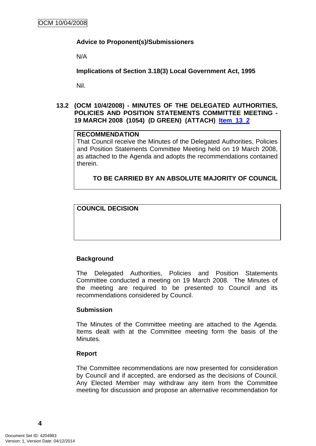## <span id="page-7-0"></span>**Advice to Proponent(s)/Submissioners**

N/A

**Implications of Section 3.18(3) Local Government Act, 1995**

Nil.

## **13.2 (OCM 10/4/2008) - MINUTES OF THE DELEGATED AUTHORITIES, POLICIES AND POSITION STATEMENTS COMMITTEE MEETING - 19 MARCH 2008 (1054) (D GREEN) (ATTACH) Item\_13\_2**

#### **RECOMMENDATION**

That Council receive the Minutes of the Delegated Authorities, Policies and Position Statements Committee Meeting held on 19 March 2008, as attached to the Agenda and adopts the recommendations contained therein.

**TO BE CARRIED BY AN ABSOLUTE MAJORITY OF COUNCIL**

# **COUNCIL DECISION**

## **Background**

The Delegated Authorities, Policies and Position Statements Committee conducted a meeting on 19 March 2008. The Minutes of the meeting are required to be presented to Council and its recommendations considered by Council.

## **Submission**

The Minutes of the Committee meeting are attached to the Agenda. Items dealt with at the Committee meeting form the basis of the Minutes.

## **Report**

The Committee recommendations are now presented for consideration by Council and if accepted, are endorsed as the decisions of Council. Any Elected Member may withdraw any item from the Committee meeting for discussion and propose an alternative recommendation for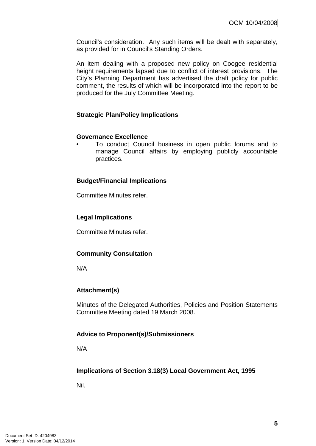Council's consideration. Any such items will be dealt with separately, as provided for in Council's Standing Orders.

An item dealing with a proposed new policy on Coogee residential height requirements lapsed due to conflict of interest provisions. The City's Planning Department has advertised the draft policy for public comment, the results of which will be incorporated into the report to be produced for the July Committee Meeting.

# **Strategic Plan/Policy Implications**

# **Governance Excellence**

• To conduct Council business in open public forums and to manage Council affairs by employing publicly accountable practices.

## **Budget/Financial Implications**

Committee Minutes refer.

# **Legal Implications**

Committee Minutes refer.

## **Community Consultation**

N/A

# **Attachment(s)**

Minutes of the Delegated Authorities, Policies and Position Statements Committee Meeting dated 19 March 2008.

## **Advice to Proponent(s)/Submissioners**

N/A

# **Implications of Section 3.18(3) Local Government Act, 1995**

Nil.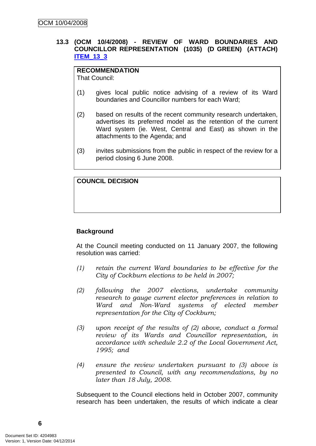## <span id="page-9-0"></span>**13.3 (OCM 10/4/2008) - REVIEW OF WARD BOUNDARIES AND COUNCILLOR REPRESENTATION (1035) (D GREEN) (ATTACH) ITEM\_13\_3**

# **RECOMMENDATION**

That Council:

- (1) gives local public notice advising of a review of its Ward boundaries and Councillor numbers for each Ward;
- (2) based on results of the recent community research undertaken, advertises its preferred model as the retention of the current Ward system (ie. West, Central and East) as shown in the attachments to the Agenda; and
- (3) invites submissions from the public in respect of the review for a period closing 6 June 2008.

# **COUNCIL DECISION**

# **Background**

At the Council meeting conducted on 11 January 2007, the following resolution was carried:

- *(1) retain the current Ward boundaries to be effective for the City of Cockburn elections to be held in 2007;*
- *(2) following the 2007 elections, undertake community research to gauge current elector preferences in relation to Ward and Non-Ward systems of elected member representation for the City of Cockburn;*
- *(3) upon receipt of the results of (2) above, conduct a formal review of its Wards and Councillor representation, in accordance with schedule 2.2 of the Local Government Act, 1995; and*
- *(4) ensure the review undertaken pursuant to (3) above is presented to Council, with any recommendations, by no later than 18 July, 2008.*

Subsequent to the Council elections held in October 2007, community research has been undertaken, the results of which indicate a clear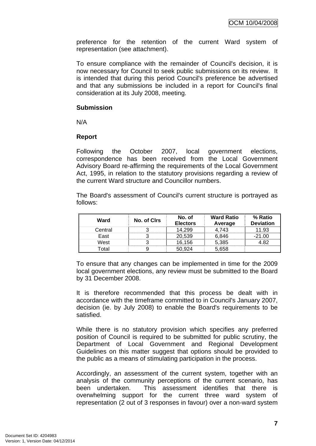preference for the retention of the current Ward system of representation (see attachment).

To ensure compliance with the remainder of Council's decision, it is now necessary for Council to seek public submissions on its review. It is intended that during this period Council's preference be advertised and that any submissions be included in a report for Council's final consideration at its July 2008, meeting.

## **Submission**

N/A

## **Report**

Following the October 2007, local government elections, correspondence has been received from the Local Government Advisory Board re-affirming the requirements of the Local Government Act, 1995, in relation to the statutory provisions regarding a review of the current Ward structure and Councillor numbers.

The Board's assessment of Council's current structure is portrayed as follows:

| Ward    | No. of Cirs | No. of<br><b>Electors</b> | <b>Ward Ratio</b><br>Average | % Ratio<br><b>Deviation</b> |
|---------|-------------|---------------------------|------------------------------|-----------------------------|
| Central |             | 14,299                    | 4.743                        | 11.93                       |
| East    |             | 20,539                    | 6,846                        | $-21.00$                    |
| West    |             | 16,156                    | 5,385                        | 4.82                        |
| ⊺otal   |             | 50.924                    | 5.658                        |                             |

To ensure that any changes can be implemented in time for the 2009 local government elections, any review must be submitted to the Board by 31 December 2008.

It is therefore recommended that this process be dealt with in accordance with the timeframe committed to in Council's January 2007, decision (ie. by July 2008) to enable the Board's requirements to be satisfied.

While there is no statutory provision which specifies any preferred position of Council is required to be submitted for public scrutiny, the Department of Local Government and Regional Development Guidelines on this matter suggest that options should be provided to the public as a means of stimulating participation in the process.

Accordingly, an assessment of the current system, together with an analysis of the community perceptions of the current scenario, has been undertaken. This assessment identifies that there overwhelming support for the current three ward system of representation (2 out of 3 responses in favour) over a non-ward system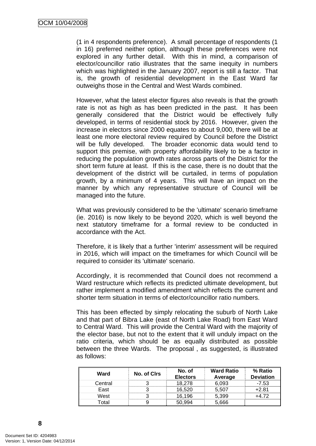(1 in 4 respondents preference). A small percentage of respondents (1 in 16) preferred neither option, although these preferences were not explored in any further detail. With this in mind, a comparison of elector/councillor ratio illustrates that the same inequity in numbers which was highlighted in the January 2007, report is still a factor. That is, the growth of residential development in the East Ward far outweighs those in the Central and West Wards combined.

However, what the latest elector figures also reveals is that the growth rate is not as high as has been predicted in the past. It has been generally considered that the District would be effectively fully developed, in terms of residential stock by 2016. However, given the increase in electors since 2000 equates to about 9,000, there will be at least one more electoral review required by Council before the District will be fully developed. The broader economic data would tend to support this premise, with property affordability likely to be a factor in reducing the population growth rates across parts of the District for the short term future at least. If this is the case, there is no doubt that the development of the district will be curtailed, in terms of population growth, by a minimum of 4 years. This will have an impact on the manner by which any representative structure of Council will be managed into the future.

What was previously considered to be the 'ultimate' scenario timeframe (ie. 2016) is now likely to be beyond 2020, which is well beyond the next statutory timeframe for a formal review to be conducted in accordance with the Act.

Therefore, it is likely that a further 'interim' assessment will be required in 2016, which will impact on the timeframes for which Council will be required to consider its 'ultimate' scenario.

Accordingly, it is recommended that Council does not recommend a Ward restructure which reflects its predicted ultimate development, but rather implement a modified amendment which reflects the current and shorter term situation in terms of elector/councillor ratio numbers.

This has been effected by simply relocating the suburb of North Lake and that part of Bibra Lake (east of North Lake Road) from East Ward to Central Ward. This will provide the Central Ward with the majority of the elector base, but not to the extent that it will unduly impact on the ratio criteria, which should be as equally distributed as possible between the three Wards. The proposal , as suggested, is illustrated as follows:

| Ward    | No. of Cirs | No. of<br><b>Electors</b> | <b>Ward Ratio</b><br>Average | % Ratio<br><b>Deviation</b> |
|---------|-------------|---------------------------|------------------------------|-----------------------------|
| Central |             | 18.278                    | 6,093                        | $-7.53$                     |
| East    |             | 16,520                    | 5.507                        | $+2.81$                     |
| West    |             | 16,196                    | 5,399                        | +4.72                       |
| otal    |             |                           | 5,666                        |                             |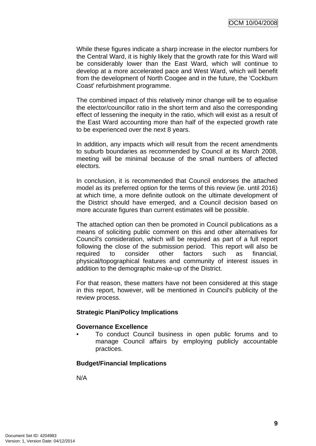While these figures indicate a sharp increase in the elector numbers for the Central Ward, it is highly likely that the growth rate for this Ward will be considerably lower than the East Ward, which will continue to develop at a more accelerated pace and West Ward, which will benefit from the development of North Coogee and in the future, the 'Cockburn Coast' refurbishment programme.

The combined impact of this relatively minor change will be to equalise the elector/councillor ratio in the short term and also the corresponding effect of lessening the inequity in the ratio, which will exist as a result of the East Ward accounting more than half of the expected growth rate to be experienced over the next 8 years.

In addition, any impacts which will result from the recent amendments to suburb boundaries as recommended by Council at its March 2008, meeting will be minimal because of the small numbers of affected electors.

In conclusion, it is recommended that Council endorses the attached model as its preferred option for the terms of this review (ie. until 2016) at which time, a more definite outlook on the ultimate development of the District should have emerged, and a Council decision based on more accurate figures than current estimates will be possible.

The attached option can then be promoted in Council publications as a means of soliciting public comment on this and other alternatives for Council's consideration, which will be required as part of a full report following the close of the submission period. This report will also be required to consider other factors such as financial, physical/topographical features and community of interest issues in addition to the demographic make-up of the District.

For that reason, these matters have not been considered at this stage in this report, however, will be mentioned in Council's publicity of the review process.

## **Strategic Plan/Policy Implications**

#### **Governance Excellence**

• To conduct Council business in open public forums and to manage Council affairs by employing publicly accountable practices.

## **Budget/Financial Implications**

N/A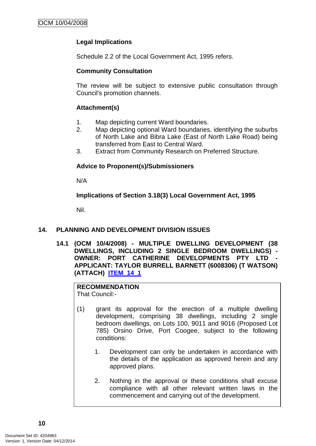# <span id="page-13-0"></span>**Legal Implications**

Schedule 2.2 of the Local Government Act, 1995 refers.

# **Community Consultation**

The review will be subject to extensive public consultation through Council's promotion channels.

# **Attachment(s)**

- 1. Map depicting current Ward boundaries.
- 2. Map depicting optional Ward boundaries, identifying the suburbs of North Lake and Bibra Lake (East of North Lake Road) being transferred from East to Central Ward.
- 3. Extract from Community Research on Preferred Structure.

# **Advice to Proponent(s)/Submissioners**

N/A

**Implications of Section 3.18(3) Local Government Act, 1995**

Nil.

# **14. PLANNING AND DEVELOPMENT DIVISION ISSUES**

**14.1 (OCM 10/4/2008) - MULTIPLE DWELLING DEVELOPMENT (38 DWELLINGS, INCLUDING 2 SINGLE BEDROOM DWELLINGS) - OWNER: PORT CATHERINE DEVELOPMENTS PTY LTD - APPLICANT: TAYLOR BURRELL BARNETT (6008306) (T WATSON) (ATTACH) ITEM\_14\_1**

# **RECOMMENDATION**

That Council:-

- (1) grant its approval for the erection of a multiple dwelling development, comprising 38 dwellings, including 2 single bedroom dwellings, on Lots 100, 9011 and 9016 (Proposed Lot 785) Orsino Drive, Port Coogee, subject to the following conditions:
	- 1. Development can only be undertaken in accordance with the details of the application as approved herein and any approved plans.
	- 2. Nothing in the approval or these conditions shall excuse compliance with all other relevant written laws in the commencement and carrying out of the development.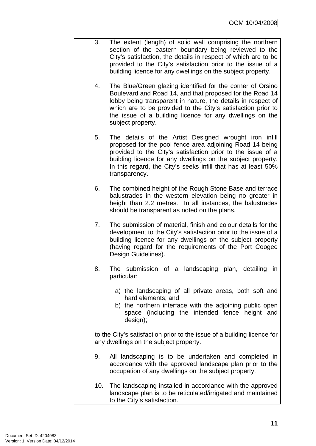- 3. The extent (length) of solid wall comprising the northern section of the eastern boundary being reviewed to the City's satisfaction, the details in respect of which are to be provided to the City's satisfaction prior to the issue of a building licence for any dwellings on the subject property.
	- 4. The Blue/Green glazing identified for the corner of Orsino Boulevard and Road 14, and that proposed for the Road 14 lobby being transparent in nature, the details in respect of which are to be provided to the City's satisfaction prior to the issue of a building licence for any dwellings on the subject property.
	- 5. The details of the Artist Designed wrought iron infill proposed for the pool fence area adjoining Road 14 being provided to the City's satisfaction prior to the issue of a building licence for any dwellings on the subject property. In this regard, the City's seeks infill that has at least 50% transparency.
	- 6. The combined height of the Rough Stone Base and terrace balustrades in the western elevation being no greater in height than 2.2 metres. In all instances, the balustrades should be transparent as noted on the plans.
	- 7. The submission of material, finish and colour details for the development to the City's satisfaction prior to the issue of a building licence for any dwellings on the subject property (having regard for the requirements of the Port Coogee Design Guidelines).
	- 8. The submission of a landscaping plan, detailing in particular:
		- a) the landscaping of all private areas, both soft and hard elements; and
		- b) the northern interface with the adjoining public open space (including the intended fence height and design);

to the City's satisfaction prior to the issue of a building licence for any dwellings on the subject property.

- 9. All landscaping is to be undertaken and completed in accordance with the approved landscape plan prior to the occupation of any dwellings on the subject property.
- 10. The landscaping installed in accordance with the approved landscape plan is to be reticulated/irrigated and maintained to the City's satisfaction.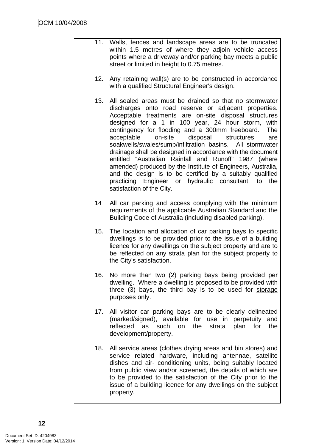- 11. Walls, fences and landscape areas are to be truncated within 1.5 metres of where they adjoin vehicle access points where a driveway and/or parking bay meets a public street or limited in height to 0.75 metres.
- 12. Any retaining wall(s) are to be constructed in accordance with a qualified Structural Engineer's design.
- 13. All sealed areas must be drained so that no stormwater discharges onto road reserve or adjacent properties. Acceptable treatments are on-site disposal structures designed for a 1 in 100 year, 24 hour storm, with contingency for flooding and a 300mm freeboard. The acceptable on-site disposal structures are soakwells/swales/sump/infiltration basins. All stormwater drainage shall be designed in accordance with the document entitled "Australian Rainfall and Runoff" 1987 (where amended) produced by the Institute of Engineers, Australia, and the design is to be certified by a suitably qualified practicing Engineer or hydraulic consultant, to the satisfaction of the City.
- 14 All car parking and access complying with the minimum requirements of the applicable Australian Standard and the Building Code of Australia (including disabled parking).
- 15. The location and allocation of car parking bays to specific dwellings is to be provided prior to the issue of a building licence for any dwellings on the subject property and are to be reflected on any strata plan for the subject property to the City's satisfaction.
- 16. No more than two (2) parking bays being provided per dwelling. Where a dwelling is proposed to be provided with three (3) bays, the third bay is to be used for storage purposes only.
- 17. All visitor car parking bays are to be clearly delineated (marked/signed), available for use in perpetuity and reflected as such on the strata plan for the development/property.
- 18. All service areas (clothes drying areas and bin stores) and service related hardware, including antennae, satellite dishes and air- conditioning units, being suitably located from public view and/or screened, the details of which are to be provided to the satisfaction of the City prior to the issue of a building licence for any dwellings on the subject property.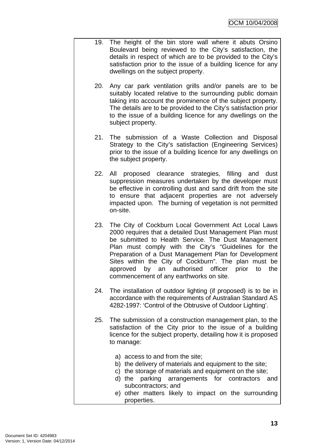- 19. The height of the bin store wall where it abuts Orsino Boulevard being reviewed to the City's satisfaction, the details in respect of which are to be provided to the City's satisfaction prior to the issue of a building licence for any dwellings on the subject property.
	- 20. Any car park ventilation grills and/or panels are to be suitably located relative to the surrounding public domain taking into account the prominence of the subject property. The details are to be provided to the City's satisfaction prior to the issue of a building licence for any dwellings on the subject property.
	- 21. The submission of a Waste Collection and Disposal Strategy to the City's satisfaction (Engineering Services) prior to the issue of a building licence for any dwellings on the subject property.
	- 22. All proposed clearance strategies, filling and dust suppression measures undertaken by the developer must be effective in controlling dust and sand drift from the site to ensure that adjacent properties are not adversely impacted upon. The burning of vegetation is not permitted on-site.
	- 23. The City of Cockburn Local Government Act Local Laws 2000 requires that a detailed Dust Management Plan must be submitted to Health Service. The Dust Management Plan must comply with the City's "Guidelines for the Preparation of a Dust Management Plan for Development Sites within the City of Cockburn". The plan must be approved by an authorised officer prior to the commencement of any earthworks on site.
	- 24. The installation of outdoor lighting (if proposed) is to be in accordance with the requirements of Australian Standard AS 4282-1997: 'Control of the Obtrusive of Outdoor Lighting'.
	- 25. The submission of a construction management plan, to the satisfaction of the City prior to the issue of a building licence for the subject property, detailing how it is proposed to manage:
		- a) access to and from the site;
		- b) the delivery of materials and equipment to the site;
		- c) the storage of materials and equipment on the site;
		- d) the parking arrangements for contractors and subcontractors; and
		- e) other matters likely to impact on the surrounding properties.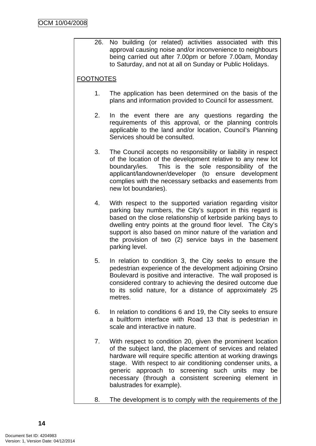26. No building (or related) activities associated with this approval causing noise and/or inconvenience to neighbours being carried out after 7.00pm or before 7.00am, Monday to Saturday, and not at all on Sunday or Public Holidays.

# FOOTNOTES

- 1. The application has been determined on the basis of the plans and information provided to Council for assessment.
- 2. In the event there are any questions regarding the requirements of this approval, or the planning controls applicable to the land and/or location, Council's Planning Services should be consulted.
- 3. The Council accepts no responsibility or liability in respect of the location of the development relative to any new lot boundary/ies. This is the sole responsibility of the applicant/landowner/developer (to ensure development complies with the necessary setbacks and easements from new lot boundaries).
- 4. With respect to the supported variation regarding visitor parking bay numbers, the City's support in this regard is based on the close relationship of kerbside parking bays to dwelling entry points at the ground floor level. The City's support is also based on minor nature of the variation and the provision of two (2) service bays in the basement parking level.
- 5. In relation to condition 3, the City seeks to ensure the pedestrian experience of the development adjoining Orsino Boulevard is positive and interactive. The wall proposed is considered contrary to achieving the desired outcome due to its solid nature, for a distance of approximately 25 metres.
- 6. In relation to conditions 6 and 19, the City seeks to ensure a builtform interface with Road 13 that is pedestrian in scale and interactive in nature.
- 7. With respect to condition 20, given the prominent location of the subject land, the placement of services and related hardware will require specific attention at working drawings stage. With respect to air conditioning condenser units, a generic approach to screening such units may be necessary (through a consistent screening element in balustrades for example).
- 8. The development is to comply with the requirements of the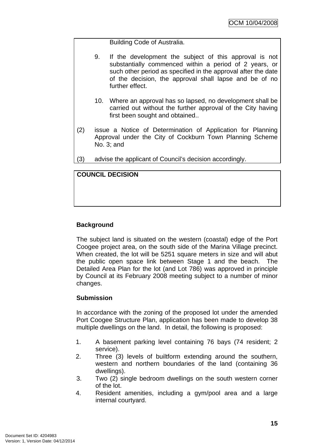#### Building Code of Australia.

- 9. If the development the subject of this approval is not substantially commenced within a period of 2 years, or such other period as specified in the approval after the date of the decision, the approval shall lapse and be of no further effect.
- 10. Where an approval has so lapsed, no development shall be carried out without the further approval of the City having first been sought and obtained..
- (2) issue a Notice of Determination of Application for Planning Approval under the City of Cockburn Town Planning Scheme No. 3; and
- (3) advise the applicant of Council's decision accordingly.

# **COUNCIL DECISION**

# **Background**

The subject land is situated on the western (coastal) edge of the Port Coogee project area, on the south side of the Marina Village precinct. When created, the lot will be 5251 square meters in size and will abut the public open space link between Stage 1 and the beach. The Detailed Area Plan for the lot (and Lot 786) was approved in principle by Council at its February 2008 meeting subject to a number of minor changes.

## **Submission**

In accordance with the zoning of the proposed lot under the amended Port Coogee Structure Plan, application has been made to develop 38 multiple dwellings on the land. In detail, the following is proposed:

- 1. A basement parking level containing 76 bays (74 resident; 2 service).
- 2. Three (3) levels of builtform extending around the southern, western and northern boundaries of the land (containing 36 dwellings).
- 3. Two (2) single bedroom dwellings on the south western corner of the lot.
- 4. Resident amenities, including a gym/pool area and a large internal courtyard.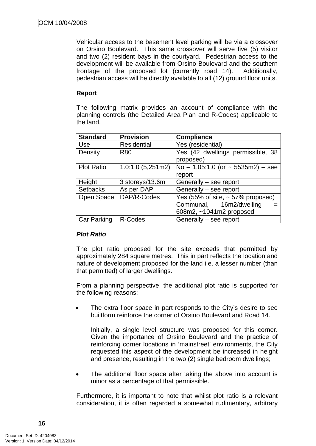Vehicular access to the basement level parking will be via a crossover on Orsino Boulevard. This same crossover will serve five (5) visitor and two (2) resident bays in the courtyard. Pedestrian access to the development will be available from Orsino Boulevard and the southern frontage of the proposed lot (currently road 14). Additionally, pedestrian access will be directly available to all (12) ground floor units.

# **Report**

The following matrix provides an account of compliance with the planning controls (the Detailed Area Plan and R-Codes) applicable to the land.

| <b>Standard</b>    | <b>Provision</b>    | <b>Compliance</b>                              |
|--------------------|---------------------|------------------------------------------------|
| Use                | <b>Residential</b>  | Yes (residential)                              |
| Density            | <b>R80</b>          | Yes (42 dwellings permissible, 38<br>proposed) |
| <b>Plot Ratio</b>  | $1.0:1.0$ (5,251m2) | No $-$ 1.05:1.0 (or $\sim$ 5535m2) – see       |
|                    |                     | report                                         |
| Height             | 3 storeys/13.6m     | Generally – see report                         |
| Setbacks           | As per DAP          | Generally - see report                         |
| Open Space         | DAP/R-Codes         | Yes (55% of site, $\sim$ 57% proposed)         |
|                    |                     | Communal, 16m2/dwelling                        |
|                    |                     | 608m2, ~1041m2 proposed                        |
| <b>Car Parking</b> | R-Codes             | Generally – see report                         |

# *Plot Ratio*

The plot ratio proposed for the site exceeds that permitted by approximately 284 square metres. This in part reflects the location and nature of development proposed for the land i.e. a lesser number (than that permitted) of larger dwellings.

From a planning perspective, the additional plot ratio is supported for the following reasons:

The extra floor space in part responds to the City's desire to see builtform reinforce the corner of Orsino Boulevard and Road 14.

Initially, a single level structure was proposed for this corner. Given the importance of Orsino Boulevard and the practice of reinforcing corner locations in 'mainstreet' environments, the City requested this aspect of the development be increased in height and presence, resulting in the two (2) single bedroom dwellings;

• The additional floor space after taking the above into account is minor as a percentage of that permissible.

Furthermore, it is important to note that whilst plot ratio is a relevant consideration, it is often regarded a somewhat rudimentary, arbitrary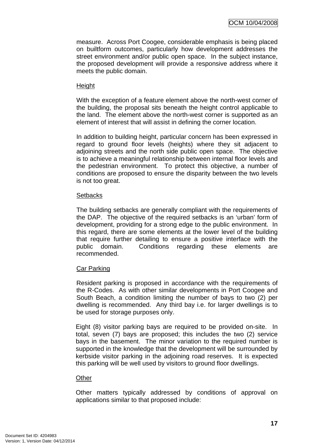measure. Across Port Coogee, considerable emphasis is being placed on builtform outcomes, particularly how development addresses the street environment and/or public open space. In the subject instance, the proposed development will provide a responsive address where it meets the public domain.

#### **Height**

With the exception of a feature element above the north-west corner of the building, the proposal sits beneath the height control applicable to the land. The element above the north-west corner is supported as an element of interest that will assist in defining the corner location.

In addition to building height, particular concern has been expressed in regard to ground floor levels (heights) where they sit adjacent to adjoining streets and the north side public open space. The objective is to achieve a meaningful relationship between internal floor levels and the pedestrian environment. To protect this objective, a number of conditions are proposed to ensure the disparity between the two levels is not too great.

#### **Setbacks**

The building setbacks are generally compliant with the requirements of the DAP. The objective of the required setbacks is an 'urban' form of development, providing for a strong edge to the public environment. In this regard, there are some elements at the lower level of the building that require further detailing to ensure a positive interface with the public domain. Conditions regarding these elements are recommended.

## Car Parking

Resident parking is proposed in accordance with the requirements of the R-Codes. As with other similar developments in Port Coogee and South Beach, a condition limiting the number of bays to two (2) per dwelling is recommended. Any third bay i.e. for larger dwellings is to be used for storage purposes only.

Eight (8) visitor parking bays are required to be provided on-site. In total, seven (7) bays are proposed; this includes the two (2) service bays in the basement. The minor variation to the required number is supported in the knowledge that the development will be surrounded by kerbside visitor parking in the adjoining road reserves. It is expected this parking will be well used by visitors to ground floor dwellings.

## **Other**

Other matters typically addressed by conditions of approval on applications similar to that proposed include: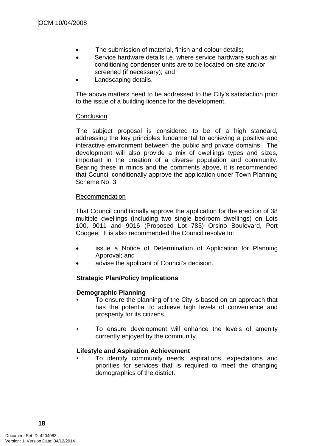- The submission of material, finish and colour details;
- Service hardware details i.e. where service hardware such as air conditioning condenser units are to be located on-site and/or screened (if necessary); and
- Landscaping details.

The above matters need to be addressed to the City's satisfaction prior to the issue of a building licence for the development.

#### **Conclusion**

 The subject proposal is considered to be of a high standard, addressing the key principles fundamental to achieving a positive and interactive environment between the public and private domains. The development will also provide a mix of dwellings types and sizes, important in the creation of a diverse population and community. Bearing these in minds and the comments above, it is recommended that Council conditionally approve the application under Town Planning Scheme No. 3.

#### Recommendation

That Council conditionally approve the application for the erection of 38 multiple dwellings (including two single bedroom dwellings) on Lots 100, 9011 and 9016 (Proposed Lot 785) Orsino Boulevard, Port Coogee. It is also recommended the Council resolve to:

- issue a Notice of Determination of Application for Planning Approval; and
- advise the applicant of Council's decision.

## **Strategic Plan/Policy Implications**

## **Demographic Planning**

- To ensure the planning of the City is based on an approach that has the potential to achieve high levels of convenience and prosperity for its citizens.
- To ensure development will enhance the levels of amenity currently enjoyed by the community.

## **Lifestyle and Aspiration Achievement**

• To identify community needs, aspirations, expectations and priorities for services that is required to meet the changing demographics of the district.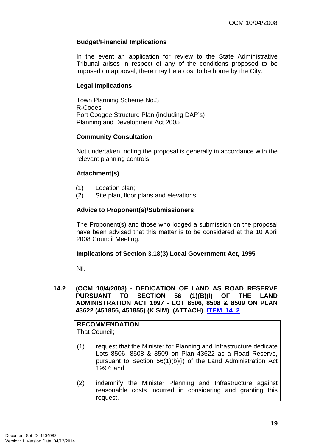# <span id="page-22-0"></span>**Budget/Financial Implications**

In the event an application for review to the State Administrative Tribunal arises in respect of any of the conditions proposed to be imposed on approval, there may be a cost to be borne by the City.

# **Legal Implications**

Town Planning Scheme No.3 R-Codes Port Coogee Structure Plan (including DAP's) Planning and Development Act 2005

## **Community Consultation**

Not undertaken, noting the proposal is generally in accordance with the relevant planning controls

# **Attachment(s)**

- (1) Location plan;
- (2) Site plan, floor plans and elevations.

# **Advice to Proponent(s)/Submissioners**

The Proponent(s) and those who lodged a submission on the proposal have been advised that this matter is to be considered at the 10 April 2008 Council Meeting.

## **Implications of Section 3.18(3) Local Government Act, 1995**

Nil.

#### **14.2 (OCM 10/4/2008) - DEDICATION OF LAND AS ROAD RESERVE PURSUANT TO SECTION 56 (1)(B)(I) OF THE LAND ADMINISTRATION ACT 1997 - LOT 8506, 8508 & 8509 ON PLAN 43622 (451856, 451855) (K SIM) (ATTACH) ITEM\_14\_2**

# **RECOMMENDATION**

That Council;

- (1) request that the Minister for Planning and Infrastructure dedicate Lots 8506, 8508 & 8509 on Plan 43622 as a Road Reserve, pursuant to Section 56(1)(b)(i) of the Land Administration Act 1997; and
- (2) indemnify the Minister Planning and Infrastructure against reasonable costs incurred in considering and granting this request.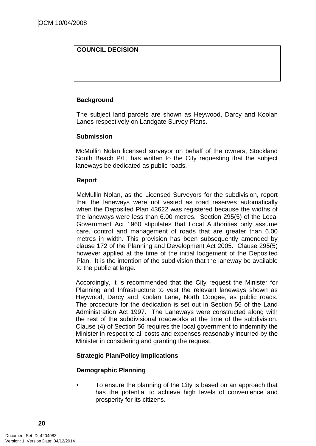# **COUNCIL DECISION**

# **Background**

The subject land parcels are shown as Heywood, Darcy and Koolan Lanes respectively on Landgate Survey Plans.

## **Submission**

McMullin Nolan licensed surveyor on behalf of the owners, Stockland South Beach P/L, has written to the City requesting that the subject laneways be dedicated as public roads.

## **Report**

McMullin Nolan, as the Licensed Surveyors for the subdivision, report that the laneways were not vested as road reserves automatically when the Deposited Plan 43622 was registered because the widths of the laneways were less than 6.00 metres. Section 295(5) of the Local Government Act 1960 stipulates that Local Authorities only assume care, control and management of roads that are greater than 6.00 metres in width. This provision has been subsequently amended by clause 172 of the Planning and Development Act 2005. Clause 295(5) however applied at the time of the initial lodgement of the Deposited Plan. It is the intention of the subdivision that the laneway be available to the public at large.

Accordingly, it is recommended that the City request the Minister for Planning and Infrastructure to vest the relevant laneways shown as Heywood, Darcy and Koolan Lane, North Coogee, as public roads. The procedure for the dedication is set out in Section 56 of the Land Administration Act 1997. The Laneways were constructed along with the rest of the subdivisional roadworks at the time of the subdivision. Clause (4) of Section 56 requires the local government to indemnify the Minister in respect to all costs and expenses reasonably incurred by the Minister in considering and granting the request.

## **Strategic Plan/Policy Implications**

# **Demographic Planning**

• To ensure the planning of the City is based on an approach that has the potential to achieve high levels of convenience and prosperity for its citizens.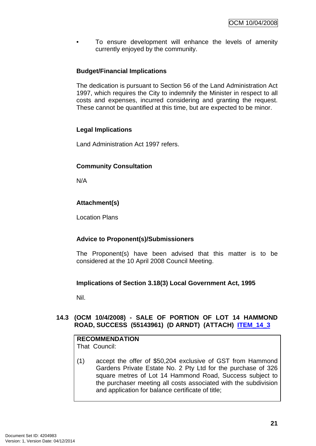<span id="page-24-0"></span>To ensure development will enhance the levels of amenity currently enjoyed by the community.

# **Budget/Financial Implications**

The dedication is pursuant to Section 56 of the Land Administration Act 1997, which requires the City to indemnify the Minister in respect to all costs and expenses, incurred considering and granting the request. These cannot be quantified at this time, but are expected to be minor.

# **Legal Implications**

Land Administration Act 1997 refers.

# **Community Consultation**

N/A

# **Attachment(s)**

Location Plans

# **Advice to Proponent(s)/Submissioners**

The Proponent(s) have been advised that this matter is to be considered at the 10 April 2008 Council Meeting.

# **Implications of Section 3.18(3) Local Government Act, 1995**

Nil.

# **14.3 (OCM 10/4/2008) - SALE OF PORTION OF LOT 14 HAMMOND ROAD, SUCCESS (55143961) (D ARNDT) (ATTACH) ITEM\_14\_3**

# **RECOMMENDATION**

That Council:

(1) accept the offer of \$50,204 exclusive of GST from Hammond Gardens Private Estate No. 2 Pty Ltd for the purchase of 326 square metres of Lot 14 Hammond Road, Success subject to the purchaser meeting all costs associated with the subdivision and application for balance certificate of title;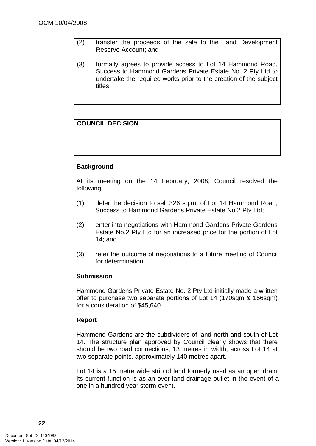- (2) transfer the proceeds of the sale to the Land Development Reserve Account; and
- (3) formally agrees to provide access to Lot 14 Hammond Road, Success to Hammond Gardens Private Estate No. 2 Pty Ltd to undertake the required works prior to the creation of the subject titles.

# **COUNCIL DECISION**

# **Background**

At its meeting on the 14 February, 2008, Council resolved the following:

- (1) defer the decision to sell 326 sq.m. of Lot 14 Hammond Road, Success to Hammond Gardens Private Estate No.2 Pty Ltd;
- (2) enter into negotiations with Hammond Gardens Private Gardens Estate No.2 Pty Ltd for an increased price for the portion of Lot 14; and
- (3) refer the outcome of negotiations to a future meeting of Council for determination.

## **Submission**

Hammond Gardens Private Estate No. 2 Pty Ltd initially made a written offer to purchase two separate portions of Lot 14 (170sqm & 156sqm) for a consideration of \$45,640.

## **Report**

Hammond Gardens are the subdividers of land north and south of Lot 14. The structure plan approved by Council clearly shows that there should be two road connections, 13 metres in width, across Lot 14 at two separate points, approximately 140 metres apart.

Lot 14 is a 15 metre wide strip of land formerly used as an open drain. Its current function is as an over land drainage outlet in the event of a one in a hundred year storm event.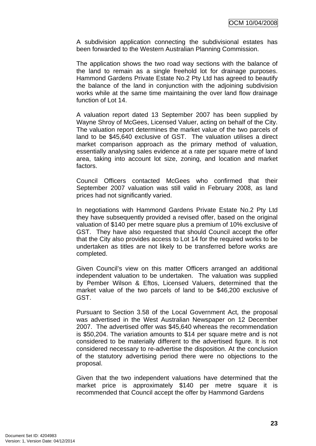A subdivision application connecting the subdivisional estates has been forwarded to the Western Australian Planning Commission.

The application shows the two road way sections with the balance of the land to remain as a single freehold lot for drainage purposes. Hammond Gardens Private Estate No.2 Pty Ltd has agreed to beautify the balance of the land in conjunction with the adjoining subdivision works while at the same time maintaining the over land flow drainage function of Lot 14.

A valuation report dated 13 September 2007 has been supplied by Wayne Shroy of McGees, Licensed Valuer, acting on behalf of the City. The valuation report determines the market value of the two parcels of land to be \$45,640 exclusive of GST. The valuation utilises a direct market comparison approach as the primary method of valuation, essentially analysing sales evidence at a rate per square metre of land area, taking into account lot size, zoning, and location and market factors.

Council Officers contacted McGees who confirmed that their September 2007 valuation was still valid in February 2008, as land prices had not significantly varied.

In negotiations with Hammond Gardens Private Estate No.2 Pty Ltd they have subsequently provided a revised offer, based on the original valuation of \$140 per metre square plus a premium of 10% exclusive of GST. They have also requested that should Council accept the offer that the City also provides access to Lot 14 for the required works to be undertaken as titles are not likely to be transferred before works are completed.

Given Council's view on this matter Officers arranged an additional independent valuation to be undertaken. The valuation was supplied by Pember Wilson & Eftos, Licensed Valuers, determined that the market value of the two parcels of land to be \$46,200 exclusive of GST.

Pursuant to Section 3.58 of the Local Government Act, the proposal was advertised in the West Australian Newspaper on 12 December 2007. The advertised offer was \$45,640 whereas the recommendation is \$50,204. The variation amounts to \$14 per square metre and is not considered to be materially different to the advertised figure. It is not considered necessary to re-advertise the disposition. At the conclusion of the statutory advertising period there were no objections to the proposal.

Given that the two independent valuations have determined that the market price is approximately \$140 per metre square it is recommended that Council accept the offer by Hammond Gardens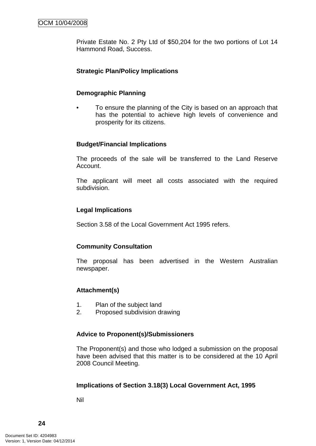Private Estate No. 2 Pty Ltd of \$50,204 for the two portions of Lot 14 Hammond Road, Success.

# **Strategic Plan/Policy Implications**

## **Demographic Planning**

• To ensure the planning of the City is based on an approach that has the potential to achieve high levels of convenience and prosperity for its citizens.

#### **Budget/Financial Implications**

The proceeds of the sale will be transferred to the Land Reserve Account.

The applicant will meet all costs associated with the required subdivision.

## **Legal Implications**

Section 3.58 of the Local Government Act 1995 refers.

## **Community Consultation**

The proposal has been advertised in the Western Australian newspaper.

## **Attachment(s)**

- 1. Plan of the subject land
- 2. Proposed subdivision drawing

## **Advice to Proponent(s)/Submissioners**

The Proponent(s) and those who lodged a submission on the proposal have been advised that this matter is to be considered at the 10 April 2008 Council Meeting.

## **Implications of Section 3.18(3) Local Government Act, 1995**

Nil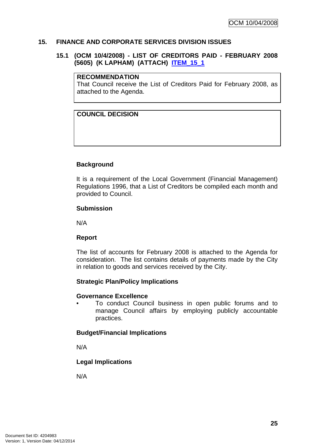## <span id="page-28-0"></span>**15. FINANCE AND CORPORATE SERVICES DIVISION ISSUES**

## **15.1 (OCM 10/4/2008) - LIST OF CREDITORS PAID - FEBRUARY 2008 (5605) (K LAPHAM) (ATTACH) ITEM\_15\_1**

#### **RECOMMENDATION**

That Council receive the List of Creditors Paid for February 2008, as attached to the Agenda.

## **COUNCIL DECISION**

# **Background**

It is a requirement of the Local Government (Financial Management) Regulations 1996, that a List of Creditors be compiled each month and provided to Council.

## **Submission**

N/A

## **Report**

The list of accounts for February 2008 is attached to the Agenda for consideration. The list contains details of payments made by the City in relation to goods and services received by the City.

## **Strategic Plan/Policy Implications**

## **Governance Excellence**

• To conduct Council business in open public forums and to manage Council affairs by employing publicly accountable practices.

## **Budget/Financial Implications**

N/A

## **Legal Implications**

N/A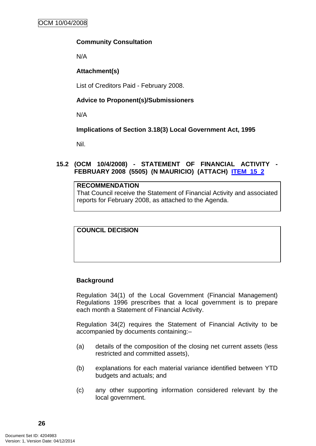# <span id="page-29-0"></span>**Community Consultation**

N/A

# **Attachment(s)**

List of Creditors Paid - February 2008.

# **Advice to Proponent(s)/Submissioners**

N/A

# **Implications of Section 3.18(3) Local Government Act, 1995**

Nil.

# **15.2 (OCM 10/4/2008) - STATEMENT OF FINANCIAL ACTIVITY - FEBRUARY 2008 (5505) (N MAURICIO) (ATTACH) ITEM\_15\_2**

## **RECOMMENDATION**

That Council receive the Statement of Financial Activity and associated reports for February 2008, as attached to the Agenda.

**COUNCIL DECISION**

# **Background**

Regulation 34(1) of the Local Government (Financial Management) Regulations 1996 prescribes that a local government is to prepare each month a Statement of Financial Activity.

Regulation 34(2) requires the Statement of Financial Activity to be accompanied by documents containing:–

- (a) details of the composition of the closing net current assets (less restricted and committed assets),
- (b) explanations for each material variance identified between YTD budgets and actuals; and
- (c) any other supporting information considered relevant by the local government.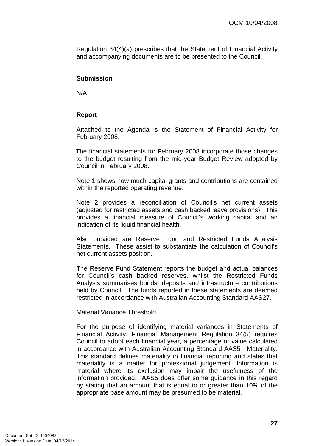Regulation 34(4)(a) prescribes that the Statement of Financial Activity and accompanying documents are to be presented to the Council.

# **Submission**

N/A

# **Report**

Attached to the Agenda is the Statement of Financial Activity for February 2008.

The financial statements for February 2008 incorporate those changes to the budget resulting from the mid-year Budget Review adopted by Council in February 2008.

Note 1 shows how much capital grants and contributions are contained within the reported operating revenue.

Note 2 provides a reconciliation of Council's net current assets (adjusted for restricted assets and cash backed leave provisions). This provides a financial measure of Council's working capital and an indication of its liquid financial health.

Also provided are Reserve Fund and Restricted Funds Analysis Statements. These assist to substantiate the calculation of Council's net current assets position.

The Reserve Fund Statement reports the budget and actual balances for Council's cash backed reserves, whilst the Restricted Funds Analysis summarises bonds, deposits and infrastructure contributions held by Council. The funds reported in these statements are deemed restricted in accordance with Australian Accounting Standard AAS27.

## Material Variance Threshold

For the purpose of identifying material variances in Statements of Financial Activity, Financial Management Regulation 34(5) requires Council to adopt each financial year, a percentage or value calculated in accordance with Australian Accounting Standard AAS5 - Materiality. This standard defines materiality in financial reporting and states that materiality is a matter for professional judgement. Information is material where its exclusion may impair the usefulness of the information provided. AAS5 does offer some guidance in this regard by stating that an amount that is equal to or greater than 10% of the appropriate base amount may be presumed to be material.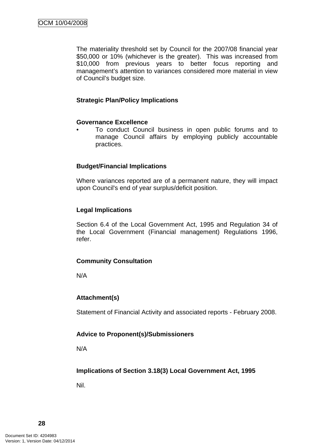The materiality threshold set by Council for the 2007/08 financial year \$50,000 or 10% (whichever is the greater). This was increased from \$10,000 from previous years to better focus reporting and management's attention to variances considered more material in view of Council's budget size.

## **Strategic Plan/Policy Implications**

## **Governance Excellence**

• To conduct Council business in open public forums and to manage Council affairs by employing publicly accountable practices.

# **Budget/Financial Implications**

Where variances reported are of a permanent nature, they will impact upon Council's end of year surplus/deficit position.

# **Legal Implications**

Section 6.4 of the Local Government Act, 1995 and Regulation 34 of the Local Government (Financial management) Regulations 1996, refer.

## **Community Consultation**

N/A

# **Attachment(s)**

Statement of Financial Activity and associated reports - February 2008.

# **Advice to Proponent(s)/Submissioners**

N/A

# **Implications of Section 3.18(3) Local Government Act, 1995**

Nil.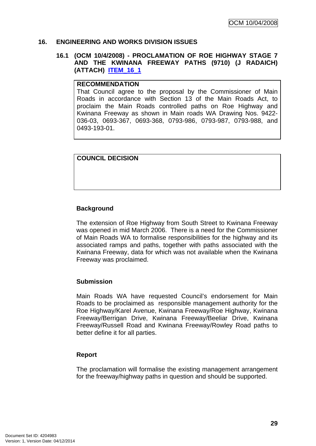## <span id="page-32-0"></span>**16. ENGINEERING AND WORKS DIVISION ISSUES**

#### **16.1 (OCM 10/4/2008) - PROCLAMATION OF ROE HIGHWAY STAGE 7 AND THE KWINANA FREEWAY PATHS (9710) (J RADAICH) (ATTACH) ITEM\_16\_1**

#### **RECOMMENDATION**

That Council agree to the proposal by the Commissioner of Main Roads in accordance with Section 13 of the Main Roads Act, to proclaim the Main Roads controlled paths on Roe Highway and Kwinana Freeway as shown in Main roads WA Drawing Nos. 9422- 036-03, 0693-367, 0693-368, 0793-986, 0793-987, 0793-988, and 0493-193-01.

## **COUNCIL DECISION**

# **Background**

The extension of Roe Highway from South Street to Kwinana Freeway was opened in mid March 2006. There is a need for the Commissioner of Main Roads WA to formalise responsibilities for the highway and its associated ramps and paths, together with paths associated with the Kwinana Freeway, data for which was not available when the Kwinana Freeway was proclaimed.

## **Submission**

Main Roads WA have requested Council's endorsement for Main Roads to be proclaimed as responsible management authority for the Roe Highway/Karel Avenue, Kwinana Freeway/Roe Highway, Kwinana Freeway/Berrigan Drive, Kwinana Freeway/Beeliar Drive, Kwinana Freeway/Russell Road and Kwinana Freeway/Rowley Road paths to better define it for all parties.

## **Report**

The proclamation will formalise the existing management arrangement for the freeway/highway paths in question and should be supported.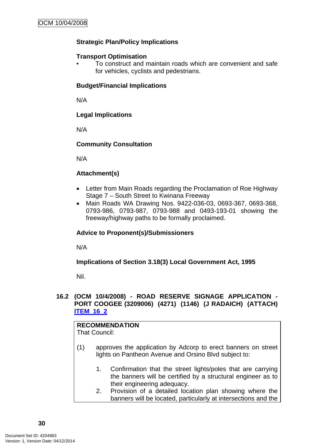# <span id="page-33-0"></span>**Strategic Plan/Policy Implications**

## **Transport Optimisation**

• To construct and maintain roads which are convenient and safe for vehicles, cyclists and pedestrians.

# **Budget/Financial Implications**

N/A

# **Legal Implications**

N/A

# **Community Consultation**

N/A

# **Attachment(s)**

- Letter from Main Roads regarding the Proclamation of Roe Highway Stage 7 – South Street to Kwinana Freeway
- Main Roads WA Drawing Nos. 9422-036-03, 0693-367, 0693-368, 0793-986, 0793-987, 0793-988 and 0493-193-01 showing the freeway/highway paths to be formally proclaimed.

# **Advice to Proponent(s)/Submissioners**

N/A

**Implications of Section 3.18(3) Local Government Act, 1995**

Nil.

# **16.2 (OCM 10/4/2008) - ROAD RESERVE SIGNAGE APPLICATION - PORT COOGEE (3209006) (4271) (1146) (J RADAICH) (ATTACH) ITEM\_16\_2**

# **RECOMMENDATION**

That Council:

- (1) approves the application by Adcorp to erect banners on street lights on Pantheon Avenue and Orsino Blvd subject to:
	- 1. Confirmation that the street lights/poles that are carrying the banners will be certified by a structural engineer as to their engineering adequacy.
	- 2. Provision of a detailed location plan showing where the banners will be located, particularly at intersections and the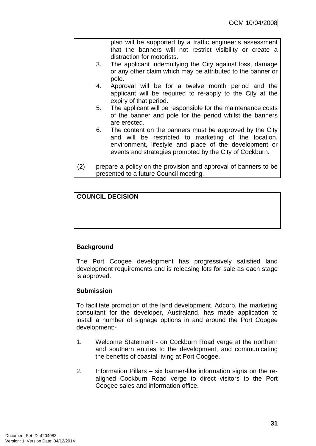plan will be supported by a traffic engineer's assessment that the banners will not restrict visibility or create a distraction for motorists.

- 3. The applicant indemnifying the City against loss, damage or any other claim which may be attributed to the banner or pole.
- 4. Approval will be for a twelve month period and the applicant will be required to re-apply to the City at the expiry of that period.
- 5. The applicant will be responsible for the maintenance costs of the banner and pole for the period whilst the banners are erected.
- 6. The content on the banners must be approved by the City and will be restricted to marketing of the location, environment, lifestyle and place of the development or events and strategies promoted by the City of Cockburn.
- (2) prepare a policy on the provision and approval of banners to be presented to a future Council meeting.

# **COUNCIL DECISION**

# **Background**

The Port Coogee development has progressively satisfied land development requirements and is releasing lots for sale as each stage is approved.

## **Submission**

To facilitate promotion of the land development. Adcorp, the marketing consultant for the developer, Australand, has made application to install a number of signage options in and around the Port Coogee development:-

- 1. Welcome Statement on Cockburn Road verge at the northern and southern entries to the development, and communicating the benefits of coastal living at Port Coogee.
- 2. Information Pillars six banner-like information signs on the realigned Cockburn Road verge to direct visitors to the Port Coogee sales and information office.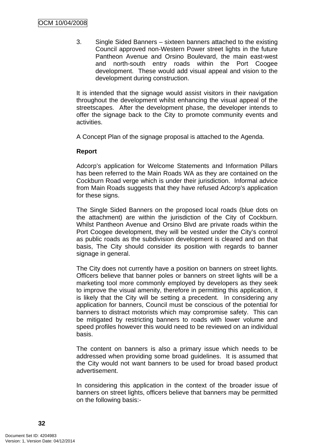3. Single Sided Banners – sixteen banners attached to the existing Council approved non-Western Power street lights in the future Pantheon Avenue and Orsino Boulevard, the main east-west and north-south entry roads within the Port Coogee development. These would add visual appeal and vision to the development during construction.

It is intended that the signage would assist visitors in their navigation throughout the development whilst enhancing the visual appeal of the streetscapes. After the development phase, the developer intends to offer the signage back to the City to promote community events and activities.

A Concept Plan of the signage proposal is attached to the Agenda.

## **Report**

Adcorp's application for Welcome Statements and Information Pillars has been referred to the Main Roads WA as they are contained on the Cockburn Road verge which is under their jurisdiction. Informal advice from Main Roads suggests that they have refused Adcorp's application for these signs.

The Single Sided Banners on the proposed local roads (blue dots on the attachment) are within the jurisdiction of the City of Cockburn. Whilst Pantheon Avenue and Orsino Blvd are private roads within the Port Coogee development, they will be vested under the City's control as public roads as the subdivision development is cleared and on that basis, The City should consider its position with regards to banner signage in general.

The City does not currently have a position on banners on street lights. Officers believe that banner poles or banners on street lights will be a marketing tool more commonly employed by developers as they seek to improve the visual amenity, therefore in permitting this application, it is likely that the City will be setting a precedent. In considering any application for banners, Council must be conscious of the potential for banners to distract motorists which may compromise safety. This can be mitigated by restricting banners to roads with lower volume and speed profiles however this would need to be reviewed on an individual basis.

The content on banners is also a primary issue which needs to be addressed when providing some broad guidelines. It is assumed that the City would not want banners to be used for broad based product advertisement.

In considering this application in the context of the broader issue of banners on street lights, officers believe that banners may be permitted on the following basis:-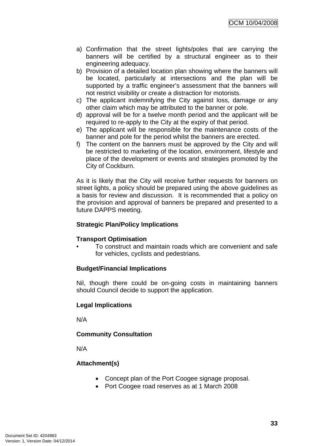- a) Confirmation that the street lights/poles that are carrying the banners will be certified by a structural engineer as to their engineering adequacy.
- b) Provision of a detailed location plan showing where the banners will be located, particularly at intersections and the plan will be supported by a traffic engineer's assessment that the banners will not restrict visibility or create a distraction for motorists.
- c) The applicant indemnifying the City against loss, damage or any other claim which may be attributed to the banner or pole.
- d) approval will be for a twelve month period and the applicant will be required to re-apply to the City at the expiry of that period.
- e) The applicant will be responsible for the maintenance costs of the banner and pole for the period whilst the banners are erected.
- f) The content on the banners must be approved by the City and will be restricted to marketing of the location, environment, lifestyle and place of the development or events and strategies promoted by the City of Cockburn.

As it is likely that the City will receive further requests for banners on street lights, a policy should be prepared using the above guidelines as a basis for review and discussion. It is recommended that a policy on the provision and approval of banners be prepared and presented to a future DAPPS meeting.

## **Strategic Plan/Policy Implications**

## **Transport Optimisation**

• To construct and maintain roads which are convenient and safe for vehicles, cyclists and pedestrians.

## **Budget/Financial Implications**

Nil, though there could be on-going costs in maintaining banners should Council decide to support the application.

## **Legal Implications**

N/A

## **Community Consultation**

N/A

## **Attachment(s)**

- Concept plan of the Port Coogee signage proposal.
- Port Coogee road reserves as at 1 March 2008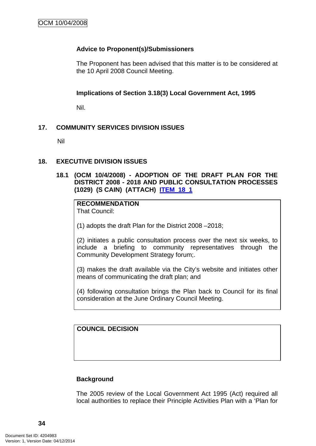# <span id="page-37-0"></span>**Advice to Proponent(s)/Submissioners**

The Proponent has been advised that this matter is to be considered at the 10 April 2008 Council Meeting.

**Implications of Section 3.18(3) Local Government Act, 1995**

Nil.

# **17. COMMUNITY SERVICES DIVISION ISSUES**

Nil

# **18. EXECUTIVE DIVISION ISSUES**

**18.1 (OCM 10/4/2008) - ADOPTION OF THE DRAFT PLAN FOR THE DISTRICT 2008 - 2018 AND PUBLIC CONSULTATION PROCESSES (1029) (S CAIN) (ATTACH) ITEM\_18\_1**

**RECOMMENDATION** That Council:

(1) adopts the draft Plan for the District 2008 –2018;

(2) initiates a public consultation process over the next six weeks, to include a briefing to community representatives through the Community Development Strategy forum;.

(3) makes the draft available via the City's website and initiates other means of communicating the draft plan; and

(4) following consultation brings the Plan back to Council for its final consideration at the June Ordinary Council Meeting.

**COUNCIL DECISION**

## **Background**

The 2005 review of the Local Government Act 1995 (Act) required all local authorities to replace their Principle Activities Plan with a 'Plan for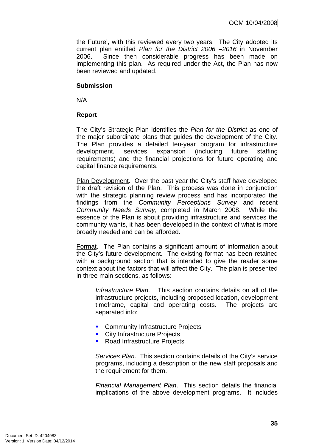the Future', with this reviewed every two years. The City adopted its current plan entitled *Plan for the District 2006 –2016* in November 2006. Since then considerable progress has been made on implementing this plan. As required under the Act, the Plan has now been reviewed and updated.

#### **Submission**

N/A

## **Report**

The City's Strategic Plan identifies the *Plan for the District* as one of the major subordinate plans that guides the development of the City. The Plan provides a detailed ten-year program for infrastructure development, services expansion (including future staffing requirements) and the financial projections for future operating and capital finance requirements.

Plan Development. Over the past year the City's staff have developed the draft revision of the Plan. This process was done in conjunction with the strategic planning review process and has incorporated the findings from the *Community Perceptions Survey* and recent *Community Needs Survey*, completed in March 2008. While the essence of the Plan is about providing infrastructure and services the community wants, it has been developed in the context of what is more broadly needed and can be afforded.

Format. The Plan contains a significant amount of information about the City's future development. The existing format has been retained with a background section that is intended to give the reader some context about the factors that will affect the City. The plan is presented in three main sections, as follows:

*Infrastructure Plan*. This section contains details on all of the infrastructure projects, including proposed location, development timeframe, capital and operating costs. The projects are separated into:

- **EXECOMMUNITY Infrastructure Projects**
- **City Infrastructure Projects**
- Road Infrastructure Projects

*Services Plan*. This section contains details of the City's service programs, including a description of the new staff proposals and the requirement for them.

*Financial Management Plan*. This section details the financial implications of the above development programs. It includes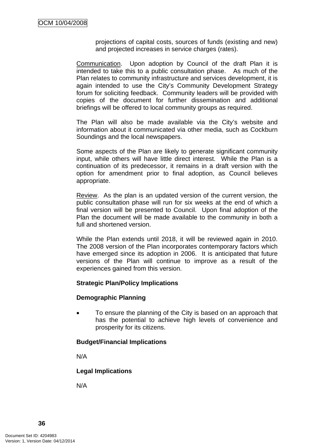projections of capital costs, sources of funds (existing and new) and projected increases in service charges (rates).

Communication. Upon adoption by Council of the draft Plan it is intended to take this to a public consultation phase. As much of the Plan relates to community infrastructure and services development, it is again intended to use the City's Community Development Strategy forum for soliciting feedback. Community leaders will be provided with copies of the document for further dissemination and additional briefings will be offered to local community groups as required.

The Plan will also be made available via the City's website and information about it communicated via other media, such as Cockburn Soundings and the local newspapers.

Some aspects of the Plan are likely to generate significant community input, while others will have little direct interest. While the Plan is a continuation of its predecessor, it remains in a draft version with the option for amendment prior to final adoption, as Council believes appropriate.

Review. As the plan is an updated version of the current version, the public consultation phase will run for six weeks at the end of which a final version will be presented to Council. Upon final adoption of the Plan the document will be made available to the community in both a full and shortened version.

While the Plan extends until 2018, it will be reviewed again in 2010. The 2008 version of the Plan incorporates contemporary factors which have emerged since its adoption in 2006. It is anticipated that future versions of the Plan will continue to improve as a result of the experiences gained from this version.

## **Strategic Plan/Policy Implications**

## **Demographic Planning**

• To ensure the planning of the City is based on an approach that has the potential to achieve high levels of convenience and prosperity for its citizens.

## **Budget/Financial Implications**

N/A

## **Legal Implications**

N/A

**36**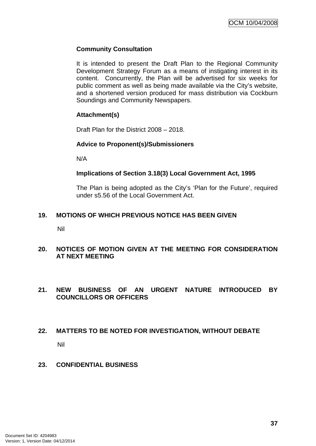## <span id="page-40-0"></span>**Community Consultation**

It is intended to present the Draft Plan to the Regional Community Development Strategy Forum as a means of instigating interest in its content. Concurrently, the Plan will be advertised for six weeks for public comment as well as being made available via the City's website, and a shortened version produced for mass distribution via Cockburn Soundings and Community Newspapers.

# **Attachment(s)**

Draft Plan for the District 2008 – 2018.

## **Advice to Proponent(s)/Submissioners**

N/A

## **Implications of Section 3.18(3) Local Government Act, 1995**

The Plan is being adopted as the City's 'Plan for the Future', required under s5.56 of the Local Government Act.

# **19. MOTIONS OF WHICH PREVIOUS NOTICE HAS BEEN GIVEN**

Nil

# **20. NOTICES OF MOTION GIVEN AT THE MEETING FOR CONSIDERATION AT NEXT MEETING**

## **21. NEW BUSINESS OF AN URGENT NATURE INTRODUCED BY COUNCILLORS OR OFFICERS**

# **22. MATTERS TO BE NOTED FOR INVESTIGATION, WITHOUT DEBATE**

Nil

## **23. CONFIDENTIAL BUSINESS**